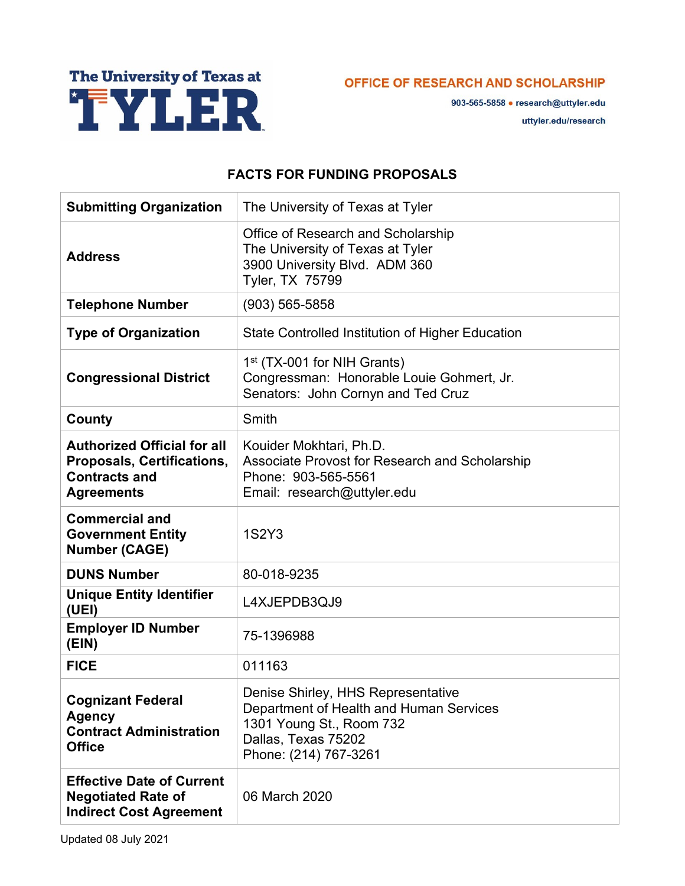

OFFICE OF RESEARCH AND SCHOLARSHIP

903-565-5858 • research@uttyler.edu uttyler.edu/research

## **FACTS FOR FUNDING PROPOSALS**

| <b>Submitting Organization</b>                                                                                       | The University of Texas at Tyler                                                                                                                          |
|----------------------------------------------------------------------------------------------------------------------|-----------------------------------------------------------------------------------------------------------------------------------------------------------|
| <b>Address</b>                                                                                                       | Office of Research and Scholarship<br>The University of Texas at Tyler<br>3900 University Blvd. ADM 360<br>Tyler, TX 75799                                |
| <b>Telephone Number</b>                                                                                              | $(903) 565 - 5858$                                                                                                                                        |
| <b>Type of Organization</b>                                                                                          | <b>State Controlled Institution of Higher Education</b>                                                                                                   |
| <b>Congressional District</b>                                                                                        | 1 <sup>st</sup> (TX-001 for NIH Grants)<br>Congressman: Honorable Louie Gohmert, Jr.<br>Senators: John Cornyn and Ted Cruz                                |
| <b>County</b>                                                                                                        | Smith                                                                                                                                                     |
| <b>Authorized Official for all</b><br><b>Proposals, Certifications,</b><br><b>Contracts and</b><br><b>Agreements</b> | Kouider Mokhtari, Ph.D.<br><b>Associate Provost for Research and Scholarship</b><br>Phone: 903-565-5561<br>Email: research@uttyler.edu                    |
| <b>Commercial and</b><br><b>Government Entity</b><br><b>Number (CAGE)</b>                                            | 1S2Y3                                                                                                                                                     |
| <b>DUNS Number</b>                                                                                                   | 80-018-9235                                                                                                                                               |
| <b>Unique Entity Identifier</b><br>(UEI)                                                                             | L4XJEPDB3QJ9                                                                                                                                              |
| <b>Employer ID Number</b><br>(EIN)                                                                                   | 75-1396988                                                                                                                                                |
| <b>FICE</b>                                                                                                          | 011163                                                                                                                                                    |
| <b>Cognizant Federal</b><br><b>Agency</b><br><b>Contract Administration</b><br><b>Office</b>                         | Denise Shirley, HHS Representative<br>Department of Health and Human Services<br>1301 Young St., Room 732<br>Dallas, Texas 75202<br>Phone: (214) 767-3261 |
| <b>Effective Date of Current</b><br><b>Negotiated Rate of</b><br><b>Indirect Cost Agreement</b>                      | 06 March 2020                                                                                                                                             |